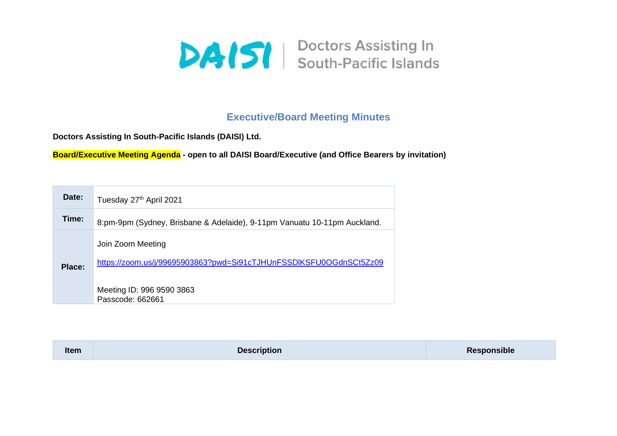

## **Executive/Board Meeting Minutes**

**Doctors Assisting In South-Pacific Islands (DAISI) Ltd.**

**Board/Executive Meeting Agenda - open to all DAISI Board/Executive (and Office Bearers by invitation)**

| Date:  | Tuesday 27th April 2021                                                                                                                  |
|--------|------------------------------------------------------------------------------------------------------------------------------------------|
| Time:  | 8:pm-9pm (Sydney, Brisbane & Adelaide), 9-11pm Vanuatu 10-11pm Auckland.                                                                 |
| Place: | Join Zoom Meeting<br>https://zoom.us/j/99695903863?pwd=Si91cTJHUnFSSDIKSFU0OGdnSCt5Zz09<br>Meeting ID: 996 9590 3863<br>Passcode: 662661 |

| <b>Item</b> | --<br>ле |
|-------------|----------|
|             |          |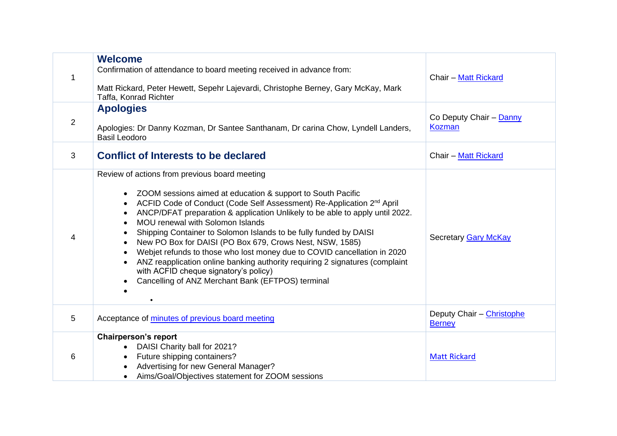| 1              | <b>Welcome</b><br>Confirmation of attendance to board meeting received in advance from:<br>Matt Rickard, Peter Hewett, Sepehr Lajevardi, Christophe Berney, Gary McKay, Mark<br>Taffa, Konrad Richter                                                                                                                                                                                                                                                                                                                                                                                                                                                                                                                         | <b>Chair - Matt Rickard</b>                |
|----------------|-------------------------------------------------------------------------------------------------------------------------------------------------------------------------------------------------------------------------------------------------------------------------------------------------------------------------------------------------------------------------------------------------------------------------------------------------------------------------------------------------------------------------------------------------------------------------------------------------------------------------------------------------------------------------------------------------------------------------------|--------------------------------------------|
| $\overline{2}$ | <b>Apologies</b><br>Apologies: Dr Danny Kozman, Dr Santee Santhanam, Dr carina Chow, Lyndell Landers,<br><b>Basil Leodoro</b>                                                                                                                                                                                                                                                                                                                                                                                                                                                                                                                                                                                                 | Co Deputy Chair - Danny<br><b>Kozman</b>   |
| 3              | <b>Conflict of Interests to be declared</b>                                                                                                                                                                                                                                                                                                                                                                                                                                                                                                                                                                                                                                                                                   | <b>Chair - Matt Rickard</b>                |
| 4              | Review of actions from previous board meeting<br>ZOOM sessions aimed at education & support to South Pacific<br>ACFID Code of Conduct (Code Self Assessment) Re-Application 2 <sup>nd</sup> April<br>ANCP/DFAT preparation & application Unlikely to be able to apply until 2022.<br>$\bullet$<br>MOU renewal with Solomon Islands<br>Shipping Container to Solomon Islands to be fully funded by DAISI<br>New PO Box for DAISI (PO Box 679, Crows Nest, NSW, 1585)<br>Webjet refunds to those who lost money due to COVID cancellation in 2020<br>ANZ reapplication online banking authority requiring 2 signatures (complaint<br>with ACFID cheque signatory's policy)<br>Cancelling of ANZ Merchant Bank (EFTPOS) terminal | <b>Secretary Gary McKay</b>                |
| 5              | Acceptance of minutes of previous board meeting                                                                                                                                                                                                                                                                                                                                                                                                                                                                                                                                                                                                                                                                               | Deputy Chair - Christophe<br><b>Berney</b> |
| 6              | <b>Chairperson's report</b><br>DAISI Charity ball for 2021?<br>Future shipping containers?<br>Advertising for new General Manager?<br>Aims/Goal/Objectives statement for ZOOM sessions                                                                                                                                                                                                                                                                                                                                                                                                                                                                                                                                        | <b>Matt Rickard</b>                        |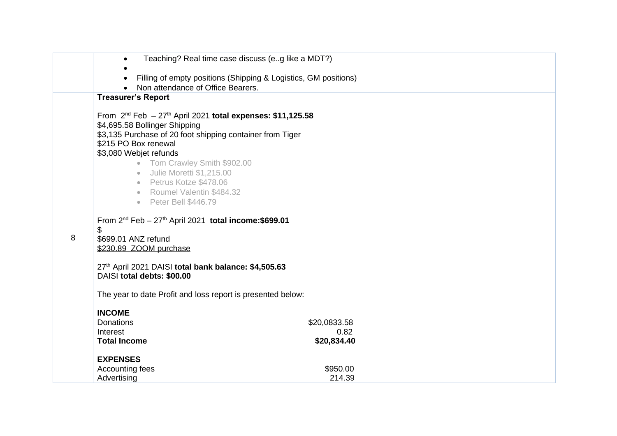|                                                             | $\bullet$                                                                                                                                                                                 | Teaching? Real time case discuss (eg like a MDT?)               |  |
|-------------------------------------------------------------|-------------------------------------------------------------------------------------------------------------------------------------------------------------------------------------------|-----------------------------------------------------------------|--|
|                                                             |                                                                                                                                                                                           |                                                                 |  |
|                                                             |                                                                                                                                                                                           | Filling of empty positions (Shipping & Logistics, GM positions) |  |
|                                                             | Non attendance of Office Bearers.                                                                                                                                                         |                                                                 |  |
|                                                             | <b>Treasurer's Report</b>                                                                                                                                                                 |                                                                 |  |
|                                                             | From $2^{nd}$ Feb $-27^{th}$ April 2021 total expenses: \$11,125.58<br>\$4,695.58 Bollinger Shipping<br>\$3,135 Purchase of 20 foot shipping container from Tiger<br>\$215 PO Box renewal |                                                                 |  |
|                                                             | \$3,080 Webjet refunds                                                                                                                                                                    |                                                                 |  |
|                                                             | • Tom Crawley Smith \$902.00                                                                                                                                                              |                                                                 |  |
|                                                             | Julie Moretti \$1,215.00                                                                                                                                                                  |                                                                 |  |
|                                                             | Petrus Kotze \$478.06<br>$\bullet$                                                                                                                                                        |                                                                 |  |
|                                                             | Roumel Valentin \$484.32<br>$\bullet$                                                                                                                                                     |                                                                 |  |
|                                                             | • Peter Bell \$446.79                                                                                                                                                                     |                                                                 |  |
| 8                                                           | From 2 <sup>nd</sup> Feb - 27 <sup>th</sup> April 2021 total income: \$699.01<br>\$<br>\$699.01 ANZ refund<br>\$230.89 ZOOM purchase                                                      |                                                                 |  |
|                                                             | 27th April 2021 DAISI total bank balance: \$4,505.63<br>DAISI total debts: \$00.00                                                                                                        |                                                                 |  |
| The year to date Profit and loss report is presented below: |                                                                                                                                                                                           |                                                                 |  |
|                                                             | <b>INCOME</b>                                                                                                                                                                             |                                                                 |  |
|                                                             | <b>Donations</b>                                                                                                                                                                          | \$20,0833.58                                                    |  |
|                                                             | Interest                                                                                                                                                                                  | 0.82                                                            |  |
|                                                             | <b>Total Income</b>                                                                                                                                                                       | \$20,834.40                                                     |  |
|                                                             | <b>EXPENSES</b>                                                                                                                                                                           |                                                                 |  |
|                                                             | Accounting fees                                                                                                                                                                           | \$950.00                                                        |  |
|                                                             | Advertising                                                                                                                                                                               | 214.39                                                          |  |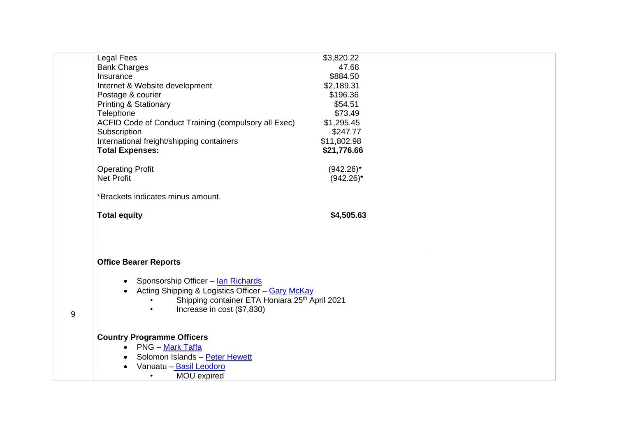|   | <b>Legal Fees</b><br><b>Bank Charges</b><br>Insurance<br>Internet & Website development<br>Postage & courier<br><b>Printing &amp; Stationary</b><br>Telephone<br>ACFID Code of Conduct Training (compulsory all Exec)<br>Subscription<br>International freight/shipping containers<br><b>Total Expenses:</b><br><b>Operating Profit</b><br><b>Net Profit</b><br>*Brackets indicates minus amount.<br><b>Total equity</b> | \$3,820.22<br>47.68<br>\$884.50<br>\$2,189.31<br>\$196.36<br>\$54.51<br>\$73.49<br>\$1,295.45<br>\$247.77<br>\$11,802.98<br>\$21,776.66<br>$(942.26)^*$<br>$(942.26)^*$<br>\$4,505.63 |  |
|---|--------------------------------------------------------------------------------------------------------------------------------------------------------------------------------------------------------------------------------------------------------------------------------------------------------------------------------------------------------------------------------------------------------------------------|---------------------------------------------------------------------------------------------------------------------------------------------------------------------------------------|--|
| 9 | <b>Office Bearer Reports</b><br>Sponsorship Officer - lan Richards<br>Acting Shipping & Logistics Officer - Gary McKay<br>Shipping container ETA Honiara 25 <sup>th</sup> April 2021<br>Increase in cost (\$7,830)<br><b>Country Programme Officers</b><br>PNG – Mark Taffa<br>Solomon Islands - Peter Hewett<br>Vanuatu - Basil Leodoro<br>MOU expired                                                                  |                                                                                                                                                                                       |  |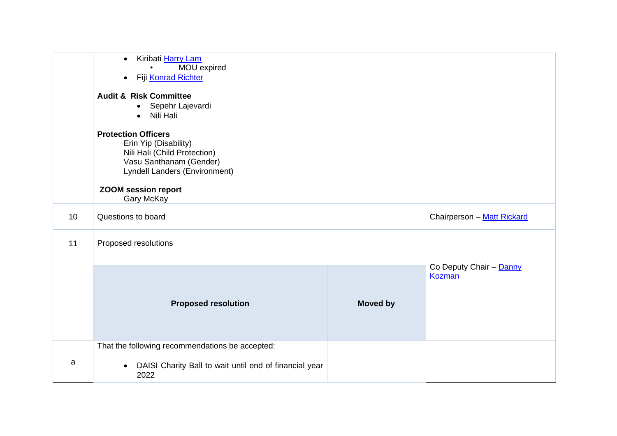|    | Kiribati Harry Lam<br>$\bullet$<br>MOU expired<br>Fiji Konrad Richter<br>$\bullet$<br><b>Audit &amp; Risk Committee</b><br>Sepehr Lajevardi<br>$\bullet$<br>Nili Hali<br>$\bullet$<br><b>Protection Officers</b><br>Erin Yip (Disability) |                 |                                   |
|----|-------------------------------------------------------------------------------------------------------------------------------------------------------------------------------------------------------------------------------------------|-----------------|-----------------------------------|
|    | Nili Hali (Child Protection)<br>Vasu Santhanam (Gender)<br>Lyndell Landers (Environment)<br><b>ZOOM session report</b><br>Gary McKay                                                                                                      |                 |                                   |
| 10 | Questions to board                                                                                                                                                                                                                        |                 | Chairperson - Matt Rickard        |
| 11 | Proposed resolutions                                                                                                                                                                                                                      |                 |                                   |
|    | <b>Proposed resolution</b>                                                                                                                                                                                                                | <b>Moved by</b> | Co Deputy Chair - Danny<br>Kozman |
| a  | That the following recommendations be accepted:<br>DAISI Charity Ball to wait until end of financial year<br>$\bullet$<br>2022                                                                                                            |                 |                                   |